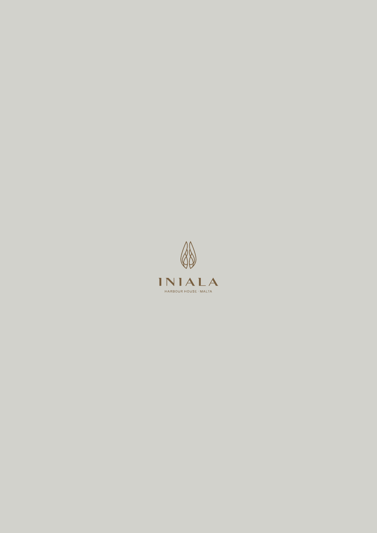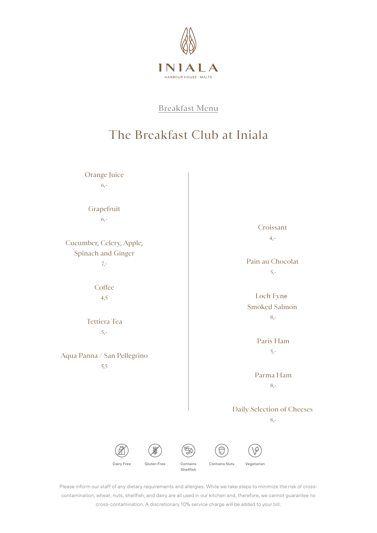

# The Breakfast Club at Iniala

Orange Juice 6,-

Grapefruit  $6 -$ 

Cucumber, Celery, Apple, Spinach and Ginger 7,-

> **Coffee** 4,5

Tettiera Tea 5,-

Aqua Panna / San Pellegrino 5,5

Croissant 4,-

Pain au Chocolat 5,-

 Loch Fyne Smoked Salmon 8,-

> Paris Ham 5,-

Parma Ham 8,-

Daily Selection of Cheeses

8,-



Contains Nuts Vegetarian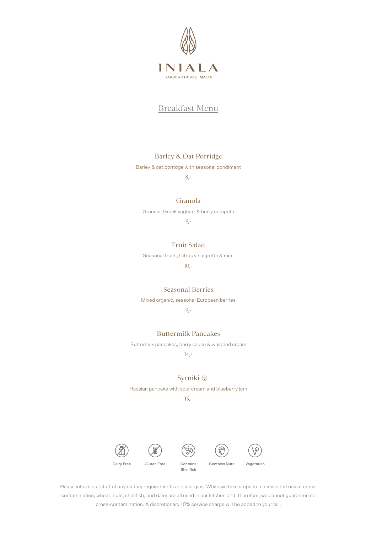

### Barley & Oat Porridge

Barley & oat porridge with seasonal condiment

8,-

#### Granola

Granola, Greek yoghurt & berry compote

9,-

#### Fruit Salad

Seasonal fruits, Citrus vinaigrette & mint

10,-

#### Seasonal Berries

Mixed organic, seasonal European berries

### 9,-

#### Buttermilk Pancakes

Buttermilk pancakes, berry sauce & whipped cream

14,-

#### Syrniki<sup>®</sup>

Russian pancake with sour cream and blueberry jam

#### 15,-









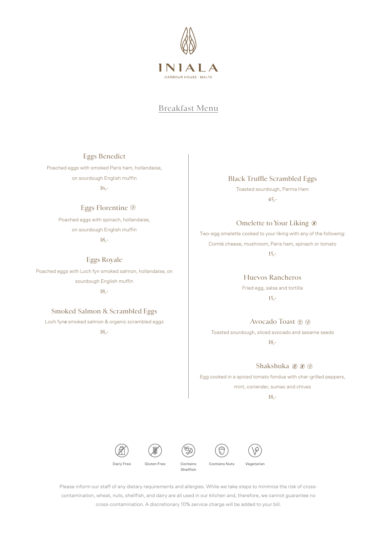

#### Eggs Benedict

Poached eggs with smoked Paris ham, hollandaise, on sourdough English muffin 16,-

#### Eggs Florentine

Poached eggs with spinach, hollandaise, on sourdough English muffin 18,-

Eggs Royale Poached eggs with Loch fyn smoked salmon, hollandaise, on

> sourdough English muffin 18,-

#### Smoked Salmon & Scrambled Eggs

Loch fyne smoked salmon & organic scrambled eggs 18,-

Black Truffle Scrambled Eggs

Toasted sourdough, Parma Ham 45,-

Omelette to Your Liking  $\circledast$ 

Two-egg omelette cooked to your liking with any of the following: Comté cheese, mushroom, Paris ham, spinach or tomato

15,-

Huevos Rancheros Fried egg, salsa and tortilla 15,-

Avocado Toast ® ®

Toasted sourdough, sliced avocado and sesame seeds 18,-

Shakshuka @ ® ®

Egg cooked in a spiced tomato fondue with char-grilled peppers, mint, coriander, sumac and chives

18,-









Contains Nuts Vegetarian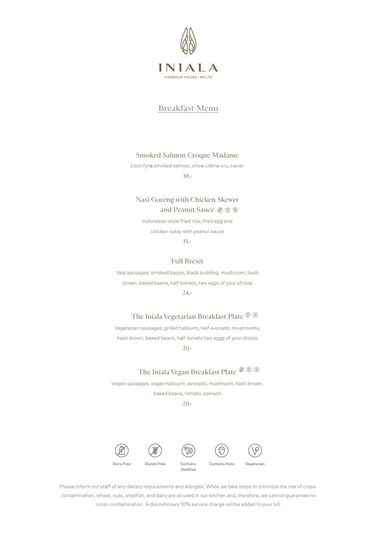

#### Smoked Salmon Croque Madame

Loch fyne smoked salmon, chive crème cru, caviar

58,-

## Nasi Goreng with Chicken Skewer and Peanut Sauce

Indonesian style fried rice, fried egg and chicken satay with peanut sauce

15,-

#### Full Brexit

Veal sausages, smoked bacon, black pudding, mushroom, hash brown, baked beans, half tomato, two eggs of your choice 24,-

## The Iniala Vegetarian Breakfast Plate ® ®

Vegetarian sausages, grilled halloumi, half avocado, mushrooms, hash brown, baked beans, half tomato two eggs of your choice 20,-

## The Iniala Vegan Breakfast Plate  $\mathcal{D} \oplus \mathcal{D}$

Vegan sausages, vegan halloumi, avocado, mushroom, hash brown, baked beans, tomato, spinach

20,-







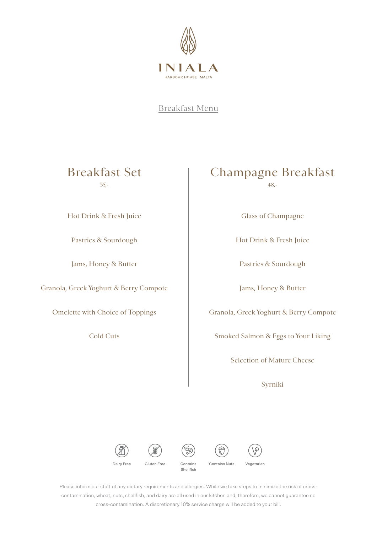

## Breakfast Set 35,-

Hot Drink & Fresh Juice

Pastries & Sourdough

Jams, Honey & Butter

Granola, Greek Yoghurt & Berry Compote

Omelette with Choice of Toppings

Cold Cuts

## Champagne Breakfast 48,-

Glass of Champagne

Hot Drink & Fresh Juice

Pastries & Sourdough

Jams, Honey & Butter

Granola, Greek Yoghurt & Berry Compote

Smoked Salmon & Eggs to Your Liking

Selection of Mature Cheese

Syrniki